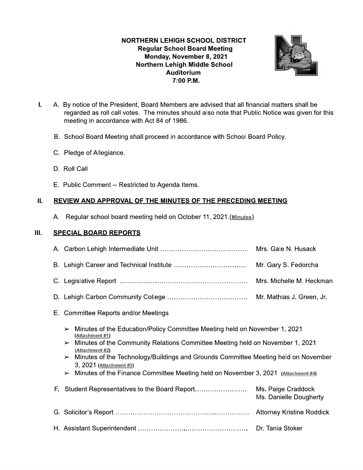# - The Contract of the Contract of the Contract of the Contract of the Contract of the Contract of the Contract<br>The Contract of the Contract of the Contract of the Contract of the Contract of the Contract of the Contract o ORTHERN LEHIGH SCHOOL DISTRICT **Regular School Board Meeting** monday, November 8, 2021 Nortnern Lenign Mildale School Auditorium<br>7:00 P.M. NORTHERN LEHIGH SCHOOL DISTRI<br>
Regular School Board Meeting<br>
Monday, November 8, 2021<br>
Northern Lehigh Middle School<br>
Auditorium<br>
7:00 P.M.<br>
President, Board Members are advised that<br>
Il call votes. The minutes should also



- I. A. By notice of the President, Board Members are advised that all financial matters shall be regarded as roll call votes. The minutes should also note that Public Notice was given for this meeting in accordance with Act 84 of 1986.
	- B. School Board Meeting shall proceed in accordance with School Board Policy.
	- C. Pledge of Allegiance.
	- D. Roll Call
	- E. Public Comment -- Restricted to Agenda Items.

# II. REVIEW AND APPROVAL OF THE MINUTES OF THE PRECEDING MEETING

A. Regular school board meeting held on October 11, 2021.(Minutes)

## III. SPECIAL BOARD REPORTS

|    |                                                                                        | Mrs. Gale N. Husack                                                                                                                                                                                                                                                                                                                                       |  |  |  |  |
|----|----------------------------------------------------------------------------------------|-----------------------------------------------------------------------------------------------------------------------------------------------------------------------------------------------------------------------------------------------------------------------------------------------------------------------------------------------------------|--|--|--|--|
|    |                                                                                        | Mr. Gary S. Fedorcha                                                                                                                                                                                                                                                                                                                                      |  |  |  |  |
|    |                                                                                        |                                                                                                                                                                                                                                                                                                                                                           |  |  |  |  |
|    |                                                                                        |                                                                                                                                                                                                                                                                                                                                                           |  |  |  |  |
| Е. | <b>Committee Reports and/or Meetings</b>                                               |                                                                                                                                                                                                                                                                                                                                                           |  |  |  |  |
|    | $\blacktriangleright$<br>(Attachment #1)<br>(Attachment #2)<br>3, 2021 (Attachment #3) | Minutes of the Education/Policy Committee Meeting held on November 1, 2021<br>Minutes of the Community Relations Committee Meeting held on November 1, 2021<br>> Minutes of the Technology/Buildings and Grounds Committee Meeting held on November<br>$\triangleright$ Minutes of the Finance Committee Meeting held on November 3, 2021 (Attachment #4) |  |  |  |  |
| E. |                                                                                        | Ms. Paige Craddock<br>Ms. Danielle Dougherty                                                                                                                                                                                                                                                                                                              |  |  |  |  |
|    |                                                                                        |                                                                                                                                                                                                                                                                                                                                                           |  |  |  |  |
|    |                                                                                        | Dr. Tania Stoker                                                                                                                                                                                                                                                                                                                                          |  |  |  |  |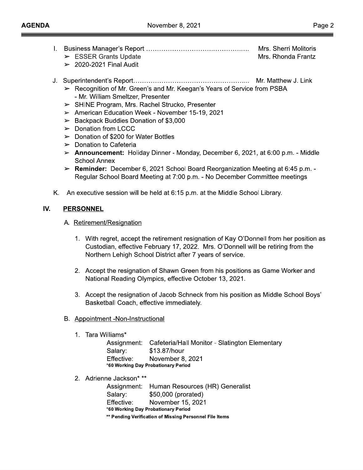- Mrs. Sherri Molitoris  $\triangleright$  ESSER Grants Update Mrs. Rhonda Frantz
	- $\geq$  2020-2021 Final Audit
- - ► Recognition of Mr. Green's and Mr. Keegan's Years of Service from PSBA - Mr. William Smeltzer, Presenter
	- > SHINE Program, Mrs. Rachel Strucko, Presenter
	- > American Education Week November 15-19, 2021
	- $\triangleright$  Backpack Buddies Donation of \$3,000
	- $\triangleright$  Donation from LCCC
	- $\geq$  Donation of \$200 for Water Bottles
	- $\triangleright$  Donation to Cafeteria
	- $\triangleright$  Announcement: Holiday Dinner Monday, December 6, 2021, at 6:00 p.m. Middle **School Annex**
	- Example Personal Repressor Representively Personal Represential Meeting at 6:45 p.m. -Regular School Board Meeting at 7:00 p.m. - No December Committee meetings
- K. An executive session will be held at 6:15 p.m. at the Middle School Library.

#### IV. **PERSONNEL**

#### A. Retirement/Resignation

- 1. With regret, accept the retirement resignation of Kay O'Donnell from her position as Custodian, effective February 17, 2022. Mrs. O'Donnell will be retiring from the Northern Lehigh School District after 7 years of service.
- 2. Accept the resignation of Shawn Green from his positions as Game Worker and National Reading Olympics, effective October 13, 2021.
- 3. Accept the resignation of Jacob Schneck from his position as Middle School Boys' Basketball Coach, effective immediately.

#### B. Appointment -Non-Instructional

1. Tara Williams\*

Assignment: Cafeteria/Hall Monitor - Slatington Elementary Salary: \$13.87/hour Effective: November 8, 2021 \*60 Working Day Probationary Period

2. Adrienne Jackson\* \*\*

Human Resources (HR) Generalist Assignment: Salary: \$50,000 (prorated) Effective: November 15, 2021 \*60 Working Day Probationary Period \*\* Pending Verification of Missing Personnel File Items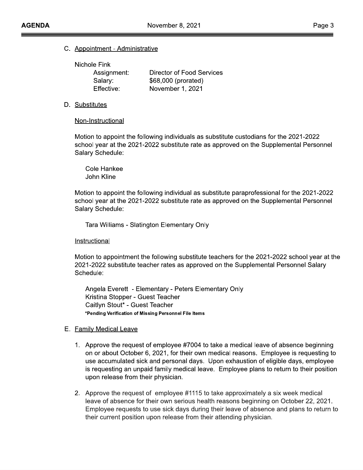C. Appointment - Administrative

Nichole Fink Assignment: Salary: Effective:

**Director of Food Services** \$68,000 (prorated) November 1, 2021

D. Substitutes

#### Non-Instructional

Motion to appoint the following individuals as substitute custodians for the 2021-2022 school year at the 2021-2022 substitute rate as approved on the Supplemental Personnel Salary Schedule:

Cole Hankee John Kline

Motion to appoint the following individual as substitute paraprofessional for the 2021-2022 school year at the 2021-2022 substitute rate as approved on the Supplemental Personnel Salary Schedule:

Tara Williams - Slatington Elementary Only

Instructional

Motion to appointment the following substitute teachers for the 2021-2022 school year at the 2021-2022 substitute teacher rates as approved on the Supplemental Personnel Salary Schedule:

Angela Everett - Elementary - Peters Elementary Only Kristina Stopper - Guest Teacher Caitlyn Stout\* - Guest Teacher \*Pending Verification of Missing Personnel File Items

#### E. Family Medical Leave

- 1. Approve the request of employee #7004 to take a medical leave of absence beginning on or about October 6, 2021, for their own medical reasons. Employee is requesting to use accumulated sick and personal days. Upon exhaustion of eligible days, employee is requesting an unpaid family medical leave. Employee plans to return to their position upon release from their physician.
- 2. Approve the request of employee #1115 to take approximately a six week medical leave of absence for their own serious health reasons beginning on October 22, 2021. Employee requests to use sick days during their leave of absence and plans to return to their current position upon release from their attending physician.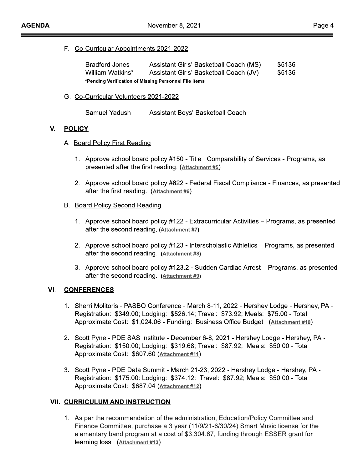F. Co-Curricular Appointments 2021-2022

| <b>Bradford Jones</b>                                 | Assistant Girls' Basketball Coach (MS) | \$5136 |  |  |  |  |  |  |
|-------------------------------------------------------|----------------------------------------|--------|--|--|--|--|--|--|
| William Watkins*                                      | Assistant Girls' Basketball Coach (JV) | \$5136 |  |  |  |  |  |  |
| *Pending Verification of Missing Personnel File Items |                                        |        |  |  |  |  |  |  |

G. Co-Curricular Volunteers 2021-2022

Samuel Yadush Assistant Boys' Basketball Coach

### V. POLICY

#### A. Board Policy First Reading

- 1. Approve school board policy #150 Title I Comparability of Services Programs, as presented after the first reading. (Attachment #5)
- 2. Approve school board policy #622 Federal Fiscal Compliance Finances, as presented after the first reading. (Attachment #6)

#### B. Board Policy Second Reading

- 1. Approve school board policy #122 Extracurricular Activities Programs, as presented after the second reading. (Attachment #7)
- 2. Approve school board policy #123 Interscholastic Athletics Programs, as presented after the second reading. (Attachment #8)
- 3. Approve school board policy #123.2 Sudden Cardiac Arrest Programs, as presented after the second reading. (Attachment #9)

#### VI. CONFERENCES

- 1. Sherri Molitoris PASBO Conference March 8-11, 2022 Hershey Lodge Hershey, PA -Registration: \$349.00; Lodging: \$526.14; Travel: \$73.92; Meals: \$75.00 - Total Approximate Cost: \$1,024.06 - Funding: Business Office Budget (Attachment #10)
- 2. Scott Pyne PDE SAS Institute December 6-8, 2021 Hershey Lodge Hershey, PA -Registration: \$150.00; Lodging: \$319.68; Travel: \$87.92; Meals: \$50.00 - Total Approximate Cost: \$607.60 (Attachment #11)
- 3. Scott Pyne PDE Data Summit March 21-23, 2022 Hershey Lodge Hershey, PA -Registration: \$175.00: Lodging: \$374.12: Travel: \$87.92; Meals: \$50.00 - Total Approximate Cost: \$687.04 (Attachment #12)

### **VII. CURRICULUM AND INSTRUCTION**

1. As per the recommendation of the administration, Education/Policy Committee and Finance Committee, purchase a 3 year (11/9/21-6/30/24) Smart Music license for the elementary band program at a cost of \$3,304.67, funding through ESSER grant for learning loss. (Attachment #13)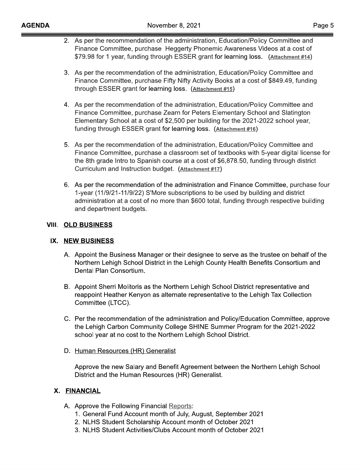- 2. As per the recommendation of the administration, Education/Policy Committee and Finance Committee, purchase Heggerty Phonemic Awareness Videos at a cost of \$79.98 for 1 year, funding through ESSER grant for learning loss. (Attachment #14)
- 3. As per the recommendation of the administration, Education/Policy Committee and Finance Committee, purchase Fifty Nifty Activity Books at a cost of \$849.49, funding through ESSER grant for learning loss. (Attachment #15)
- 4. As per the recommendation of the administration, Education/Policy Committee and Finance Committee, purchase Zearn for Peters Elementary School and Slatington Elementary School at a cost of \$2,500 per building for the 2021-2022 school year, funding through ESSER grant for learning loss. (Attachment #16)
- 5. As per the recommendation of the administration, Education/Policy Committee and Finance Committee, purchase a classroom set of textbooks with 5-year digital license for the 8th grade Intro to Spanish course at a cost of \$6,878.50, funding through district Curriculum and Instruction budget. (Attachment #17)
- 6. As per the recommendation of the administration and Finance Committee, purchase four 1-year (11/9/21-11/9/22) S'More subscriptions to be used by building and district administration at a cost of no more than \$600 total, funding through respective building and department budgets.

#### VIII. OLD BUSINESS

### IX. NEW BUSINESS

- A. Appoint the Business Manager or their designee to serve as the trustee on behalf of the Northern Lehigh School District in the Lehigh County Health Benefits Consortium and Dental Plan Consortium.
- B. Appoint Sherri Molitoris as the Northern Lehigh School District representative and reappoint Heather Kenyon as alternate representative to the Lehigh Tax Collection Committee (LTCC).
- C. Per the recommendation of the administration and Policy/Education Committee, approve the Lehigh Carbon Community College SHINE Summer Program for the 2021-2022 school year at no cost to the Northern Lehigh School District.
- D. Human Resources (HR) Generalist

Approve the new Salary and Benefit Agreement between the Northern Lehigh School District and the Human Resources (HR) Generalist.

### X. FINANCIAL

- A. Approve the Following Financial Reports:
	- 1. General Fund Account month of July, August, September 2021
	- 2. NLHS Student Scholarship Account month of October 2021
	- 3. NLHS Student Activities/Clubs Account month of October 2021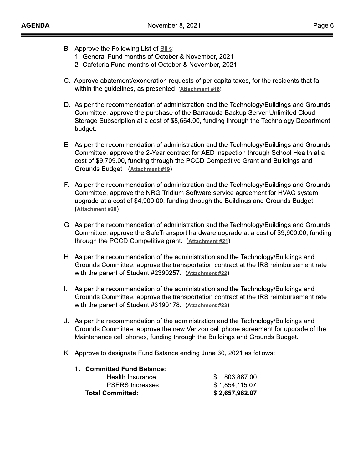- B. Approve the Following List of Bills:
	- 1. General Fund months of October & November, 2021
	- 2. Cafeteria Fund months of October & November, 2021
- C. Approve abatement/exoneration requests of per capita taxes, for the residents that fall within the guidelines, as presented. (Attachment #18)
- D. As per the recommendation of administration and the Technology/Buildings and Grounds Committee, approve the purchase of the Barracuda Backup Server Unlimited Cloud Storage Subscription at a cost of \$8,664.00, funding through the Technology Department budget.
- E. As per the recommendation of administration and the Technology/Buildings and Grounds Committee, approve the 2-Year contract for AED inspection through School Health at a cost of \$9,709.00, funding through the PCCD Competitive Grant and Buildings and Grounds Budget. (Attachment #19)
- F. As per the recommendation of administration and the Technology/Buildings and Grounds Committee, approve the NRG Tridium Software service agreement for HVAC system upgrade at a cost of \$4,900.00, funding through the Buildings and Grounds Budget. (Attachment #20)
- G. As per the recommendation of administration and the Technology/Buildings and Grounds Committee, approve the SafeTransport hardware upgrade at a cost of \$9,900.00, funding through the PCCD Competitive grant. (Attachment #21)
- H. As per the recommendation of the administration and the Technology/Buildings and Grounds Committee, approve the transportation contract at the IRS reimbursement rate with the parent of Student #2390257. (Attachment #22)
- I. As per the recommendation of the administration and the Technology/Buildings and Grounds Committee, approve the transportation contract at the IRS reimbursement rate with the parent of Student #3190178. (Attachment #23)
- J. As per the recommendation of the administration and the Technology/Buildings and Grounds Committee, approve the new Verizon cell phone agreement for upgrade of the Maintenance cell phones, funding through the Buildings and Grounds Budget.
- K. Approve to designate Fund Balance ending June 30, 2021 as follows:

| 1. Committed Fund Balance: |                |
|----------------------------|----------------|
| Health Insurance           | \$803,867.00   |
| <b>PSERS Increases</b>     | \$1,854,115.07 |
| <b>Total Committed:</b>    | \$2,657,982.07 |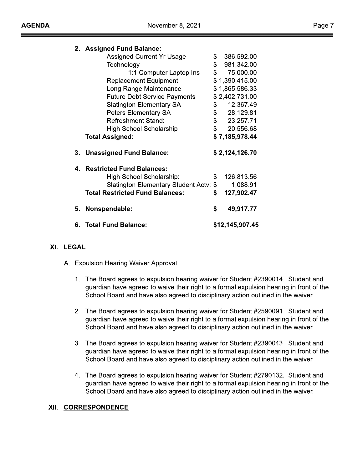$\equiv$ 

| <b>GENDA</b> | November 8, 2021                                                                                                                                                                                       |                  |
|--------------|--------------------------------------------------------------------------------------------------------------------------------------------------------------------------------------------------------|------------------|
|              | 2. Assigned Fund Balance:                                                                                                                                                                              |                  |
|              | <b>Assigned Current Yr Usage</b>                                                                                                                                                                       | \$<br>386,592.00 |
|              | Technology                                                                                                                                                                                             | \$<br>981,342.00 |
|              | 1:1 Computer Laptop Ins                                                                                                                                                                                | \$<br>75,000.00  |
|              | <b>Replacement Equipment</b>                                                                                                                                                                           | \$1,390,415.00   |
|              | Long Range Maintenance                                                                                                                                                                                 | \$1,865,586.33   |
|              | <b>Future Debt Service Payments</b>                                                                                                                                                                    | \$2,402,731.00   |
|              | <b>Slatington Elementary SA</b>                                                                                                                                                                        | \$<br>12,367.49  |
|              | <b>Peters Elementary SA</b>                                                                                                                                                                            | \$<br>28,129.81  |
|              | <b>Refreshment Stand:</b>                                                                                                                                                                              | \$<br>23,257.71  |
|              | <b>High School Scholarship</b>                                                                                                                                                                         | \$<br>20,556.68  |
|              | <b>Total Assigned:</b>                                                                                                                                                                                 | \$7,185,978.44   |
| 3.           | <b>Unassigned Fund Balance:</b>                                                                                                                                                                        | \$2,124,126.70   |
|              | 4. Restricted Fund Balances:                                                                                                                                                                           |                  |
|              | High School Scholarship:                                                                                                                                                                               | \$<br>126,813.56 |
|              | Slatington Elementary Student Actv: \$                                                                                                                                                                 | 1,088.91         |
|              | <b>Total Restricted Fund Balances:</b>                                                                                                                                                                 | \$<br>127,902.47 |
| 5.           | Nonspendable:                                                                                                                                                                                          | \$<br>49,917.77  |
|              | 6. Total Fund Balance:                                                                                                                                                                                 | \$12,145,907.45  |
| XI. LEGAL    |                                                                                                                                                                                                        |                  |
|              | A. Expulsion Hearing Waiver Approval                                                                                                                                                                   |                  |
| 1.           | The Board agrees to expulsion hearing waiver for Student #239<br>guardian have agreed to waive their right to a formal expulsion I<br>School Board and have also agreed to disciplinary action outline |                  |
| $2 -$        | The Board agrees to expulsion hearing waiver for Student #259<br>guardian have agreed to waive their right to a formal expulsion I<br>School Board and have also agreed to disciplinary action outline |                  |

# XI. <u>LEGAL</u>

# <u>arıng vvalver Approval</u>

- $\overline{1}$ . The Board agrees to expulsion hearing walver for Student #2390014. Student and \_=,9'()8 guardian have agreed to walve their right to a formal expulsion hearing in front of the  $\,$ \$12,145,907.45<br>
ing waiver for Student #2390014. Student ar<br>
right to a formal expulsion hearing in front of<br>
to disciplinary action outlined in the waiver.<br>
ing waiver for Student #2590091. Student ar<br>
right to a formal e School Board and have also agreed to disciplinary action outlined in the walver.  $\,$ ion Hearing Waiver Approval<br>
Pe Board agrees to expulsion hearing waiver fordian have agreed to waive their right to a for<br>
Pe Board and have also agreed to disciplina<br>
Pe Board agrees to expulsion hearing waiver fordian h iver Approval<br>to expulsion hearing waiver for Student #23900<br>eed to waive their right to a formal expulsion he<br>have also agreed to disciplinary action outlined<br>to expulsion hearing waiver for Student #25900<br>eed to waive th
- 6. Total Fund Balance:<br>
Expulsion Hearing Waiver Approval<br>
1. The Board agrees to expulsion hearing<br>
guardian have agreed to waive their righ<br>
School Board and have also agreed to<br>
2. The Board agrees to expulsion hearing<br>  $2.$  The Board agrees to expulsion hearing walver for Student #2590091. Student and guardian have agreed to waive their right to a formal expulsion hearing in front of the  $\,$ School Board and have also agreed to disciplinary action outlined in the walver.  $\,$
- Expulsion Hearing Waiver Approval<br>1. The Board agrees to expulsion hearing<br>guardian have agreed to waive their righ<br>School Board and have also agreed to to<br>2. The Board agrees to expulsion hearing<br>guardian have agreed to w on Hearing Waiver Approval<br>Board agrees to expulsion hearing waiver for<br>dian have agreed to waive their right to a form<br>ool Board and have also agreed to disciplinar<br>Board agrees to expulsion hearing waiver for<br>roll Board ing waiver for Student #2390014. Student are right to a formal expulsion hearing in front of to disciplinary action outlined in the waiver.<br>
ing waiver for Student #2590091. Student are right to a formal expulsion hearing Board agrees to expulsion hearing waiver for<br>andian have agreed to waive their right to a for<br>nool Board and have also agreed to disciplina<br>Board agrees to expulsion hearing waiver for<br>ardian have agreed to waive their rig to expulsion hearing waiver for Student #23900<br>eed to waive their right to a formal expulsion he<br>have also agreed to disciplinary action outlined<br>to expulsion hearing waiver for Student #25900<br>eed to waive their right to a  $3.$  The Board agrees to expulsion nearing waiver for Student #2390043. Student and The Board agrees to explaism healing<br>guardian have agreed to waive their right<br>School Board and have also agreed to  $\alpha$ <br>2. The Board agrees to expulsion hearing<br>guardian have agreed to waive their right<br>School Board and h Board agrees to expansion hearing warver for<br>redian have agreed to waive their right to a form<br>cool Board and have also agreed to disciplinar<br>Board agrees to expulsion hearing waiver for<br>redian have agreed to waive their r guardian have agreed to waive their right to a formal expulsion hearing in front of the  $\,$ It is disciplinary action outlined in the waiver.<br>
The waiver for Student #2590091. Student are right to a formal expulsion hearing in front of<br>
It is disciplinary action outlined in the waiver.<br>
The waiver for Student #23 School Board and have also agreed to disciplinary action outlined in the walver.  $\,$ Board and have also agreed to disciplina<br>Poor Board and have also agreed to disciplina<br>Por Board and have also agreed to disciplina<br>Por Board and have also agreed to disciplina<br>Por Board agrees to expulsion hearing waiver to expulsion hearing waiver for Student #25900<br>eed to waive their right to a formal expulsion he<br>have also agreed to disciplinary action outlined<br>to expulsion hearing waiver for Student #23900<br>eed to waive their right to a 2. The board agrees to explaism healing<br>guardian have agreed to waive their right<br>School Board and have also agreed to of<br>3. The Board agrees to expulsion hearing<br>guardian have agreed to waive their right<br>School Board and Board agrees to expansion hearing water. To<br>rdian have agreed to waive their right to a form<br>cool Board and have also agreed to disciplinar<br>Board agrees to expulsion hearing waiver for<br>rdian have agreed to waive their righ It is disciplinary action outlined in the waiver.<br>
The waiver for Student #2390043. Student are right to a formal expulsion hearing in front of<br>
It is disciplinary action outlined in the waiver.<br>
The waiver for Student #27 Board agrees to expulsion hearing waiver for<br>ardian have agreed to waive their right to a for<br>nool Board and have also agreed to disciplina<br>Board agrees to expulsion hearing waiver for<br>ardian have agreed to waive their rig to expulsion hearing waiver for Student #23900<br>eed to waive their right to a formal expulsion he<br>have also agreed to disciplinary action outlined<br>to expulsion hearing waiver for Student #2790<br>eed to waive their right to a
	- 4. The Board agrees to expulsion hearing waiver for Student  $\#ZZ9013Z$ . Student and guardian have agreed to waive their right to a formal expulsion hearing in front of the  $\,$ School Board and have also agreed to disciplinary action outlined in the walver.  $\,$

#### XII. CORRESPONDENCE